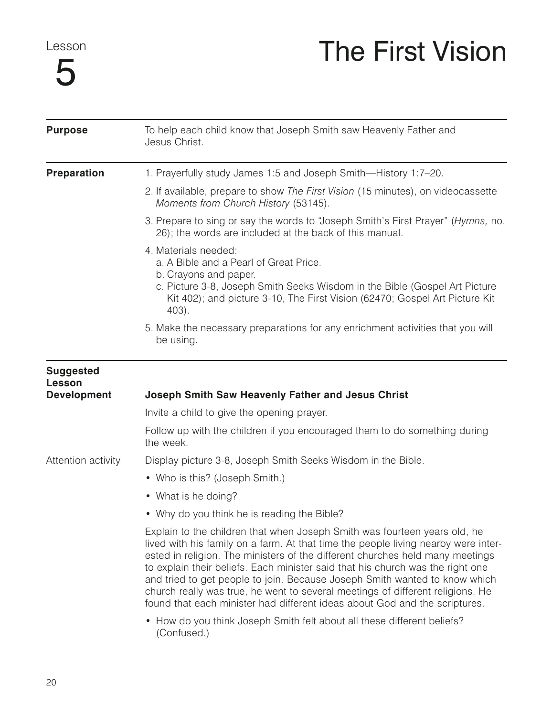Lesson

## 5

## The First Vision

| <b>Purpose</b>                                   | To help each child know that Joseph Smith saw Heavenly Father and<br>Jesus Christ.                                                                                                                                                                                                                                                                                                                                                                                                                                                                                               |
|--------------------------------------------------|----------------------------------------------------------------------------------------------------------------------------------------------------------------------------------------------------------------------------------------------------------------------------------------------------------------------------------------------------------------------------------------------------------------------------------------------------------------------------------------------------------------------------------------------------------------------------------|
| <b>Preparation</b>                               | 1. Prayerfully study James 1:5 and Joseph Smith-History 1:7-20.                                                                                                                                                                                                                                                                                                                                                                                                                                                                                                                  |
|                                                  | 2. If available, prepare to show The First Vision (15 minutes), on videocassette<br>Moments from Church History (53145).                                                                                                                                                                                                                                                                                                                                                                                                                                                         |
|                                                  | 3. Prepare to sing or say the words to "Joseph Smith's First Prayer" (Hymns, no.<br>26); the words are included at the back of this manual.                                                                                                                                                                                                                                                                                                                                                                                                                                      |
|                                                  | 4. Materials needed:<br>a. A Bible and a Pearl of Great Price.<br>b. Crayons and paper.<br>c. Picture 3-8, Joseph Smith Seeks Wisdom in the Bible (Gospel Art Picture<br>Kit 402); and picture 3-10, The First Vision (62470; Gospel Art Picture Kit<br>$403$ .                                                                                                                                                                                                                                                                                                                  |
|                                                  | 5. Make the necessary preparations for any enrichment activities that you will<br>be using.                                                                                                                                                                                                                                                                                                                                                                                                                                                                                      |
| <b>Suggested</b><br>Lesson<br><b>Development</b> | <b>Joseph Smith Saw Heavenly Father and Jesus Christ</b>                                                                                                                                                                                                                                                                                                                                                                                                                                                                                                                         |
|                                                  | Invite a child to give the opening prayer.                                                                                                                                                                                                                                                                                                                                                                                                                                                                                                                                       |
|                                                  | Follow up with the children if you encouraged them to do something during<br>the week.                                                                                                                                                                                                                                                                                                                                                                                                                                                                                           |
| Attention activity                               | Display picture 3-8, Joseph Smith Seeks Wisdom in the Bible.                                                                                                                                                                                                                                                                                                                                                                                                                                                                                                                     |
|                                                  | • Who is this? (Joseph Smith.)                                                                                                                                                                                                                                                                                                                                                                                                                                                                                                                                                   |
|                                                  | • What is he doing?                                                                                                                                                                                                                                                                                                                                                                                                                                                                                                                                                              |
|                                                  | • Why do you think he is reading the Bible?                                                                                                                                                                                                                                                                                                                                                                                                                                                                                                                                      |
|                                                  | Explain to the children that when Joseph Smith was fourteen years old, he<br>lived with his family on a farm. At that time the people living nearby were inter-<br>ested in religion. The ministers of the different churches held many meetings<br>to explain their beliefs. Each minister said that his church was the right one<br>and tried to get people to join. Because Joseph Smith wanted to know which<br>church really was true, he went to several meetings of different religions. He<br>found that each minister had different ideas about God and the scriptures. |
|                                                  | • How do you think Joseph Smith felt about all these different beliefs?<br>(Confused.)                                                                                                                                                                                                                                                                                                                                                                                                                                                                                           |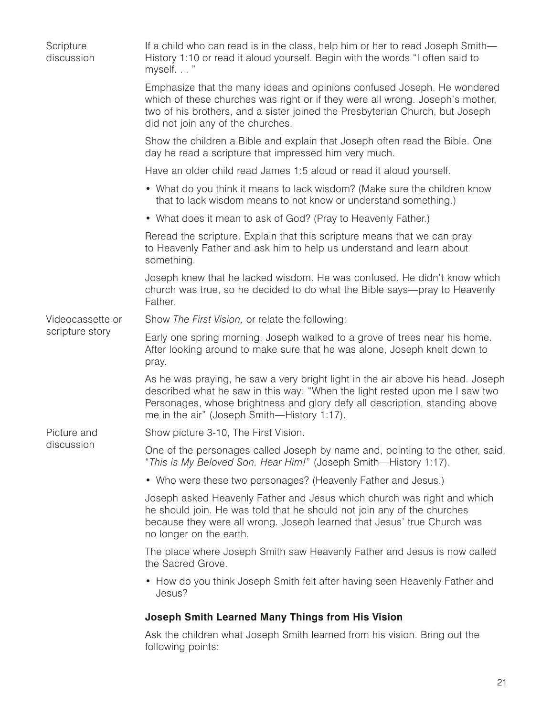| Scripture<br>discussion | If a child who can read is in the class, help him or her to read Joseph Smith-<br>History 1:10 or read it aloud yourself. Begin with the words "I often said to<br>myself"                                                                                                                   |
|-------------------------|----------------------------------------------------------------------------------------------------------------------------------------------------------------------------------------------------------------------------------------------------------------------------------------------|
|                         | Emphasize that the many ideas and opinions confused Joseph. He wondered<br>which of these churches was right or if they were all wrong. Joseph's mother,<br>two of his brothers, and a sister joined the Presbyterian Church, but Joseph<br>did not join any of the churches.                |
|                         | Show the children a Bible and explain that Joseph often read the Bible. One<br>day he read a scripture that impressed him very much.                                                                                                                                                         |
|                         | Have an older child read James 1:5 aloud or read it aloud yourself.                                                                                                                                                                                                                          |
|                         | • What do you think it means to lack wisdom? (Make sure the children know<br>that to lack wisdom means to not know or understand something.)                                                                                                                                                 |
|                         | • What does it mean to ask of God? (Pray to Heavenly Father.)                                                                                                                                                                                                                                |
|                         | Reread the scripture. Explain that this scripture means that we can pray<br>to Heavenly Father and ask him to help us understand and learn about<br>something.                                                                                                                               |
|                         | Joseph knew that he lacked wisdom. He was confused. He didn't know which<br>church was true, so he decided to do what the Bible says-pray to Heavenly<br>Father.                                                                                                                             |
| Videocassette or        | Show The First Vision, or relate the following:                                                                                                                                                                                                                                              |
| scripture story         | Early one spring morning, Joseph walked to a grove of trees near his home.<br>After looking around to make sure that he was alone, Joseph knelt down to<br>pray.                                                                                                                             |
|                         | As he was praying, he saw a very bright light in the air above his head. Joseph<br>described what he saw in this way: "When the light rested upon me I saw two<br>Personages, whose brightness and glory defy all description, standing above<br>me in the air" (Joseph Smith-History 1:17). |
| Picture and             | Show picture 3-10, The First Vision.                                                                                                                                                                                                                                                         |
| discussion              | One of the personages called Joseph by name and, pointing to the other, said,<br>"This is My Beloved Son. Hear Him!" (Joseph Smith—History 1:17).                                                                                                                                            |
|                         | • Who were these two personages? (Heavenly Father and Jesus.)                                                                                                                                                                                                                                |
|                         | Joseph asked Heavenly Father and Jesus which church was right and which<br>he should join. He was told that he should not join any of the churches<br>because they were all wrong. Joseph learned that Jesus' true Church was<br>no longer on the earth.                                     |
|                         | The place where Joseph Smith saw Heavenly Father and Jesus is now called<br>the Sacred Grove.                                                                                                                                                                                                |
|                         | • How do you think Joseph Smith felt after having seen Heavenly Father and<br>Jesus?                                                                                                                                                                                                         |
|                         | <b>Joseph Smith Learned Many Things from His Vision</b>                                                                                                                                                                                                                                      |
|                         | Ask the children what Joseph Smith learned from his vision. Bring out the                                                                                                                                                                                                                    |

following points: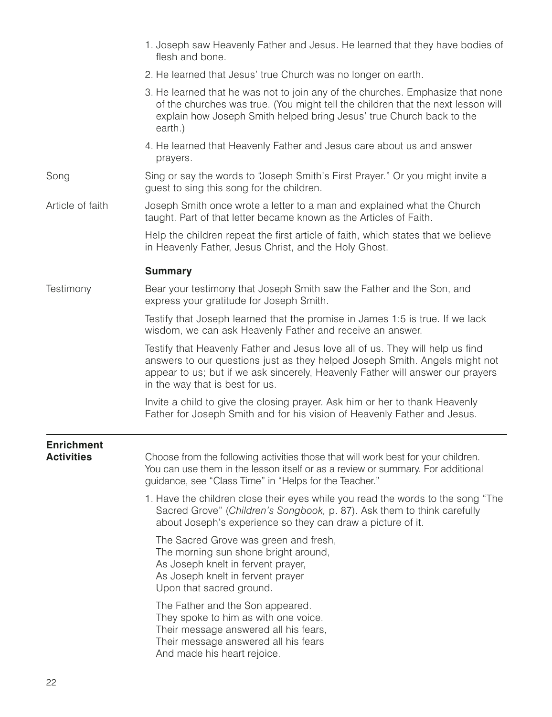|                                        | 1. Joseph saw Heavenly Father and Jesus. He learned that they have bodies of<br>flesh and bone.                                                                                                                                                                                   |
|----------------------------------------|-----------------------------------------------------------------------------------------------------------------------------------------------------------------------------------------------------------------------------------------------------------------------------------|
|                                        | 2. He learned that Jesus' true Church was no longer on earth.                                                                                                                                                                                                                     |
|                                        | 3. He learned that he was not to join any of the churches. Emphasize that none<br>of the churches was true. (You might tell the children that the next lesson will<br>explain how Joseph Smith helped bring Jesus' true Church back to the<br>earth.)                             |
|                                        | 4. He learned that Heavenly Father and Jesus care about us and answer<br>prayers.                                                                                                                                                                                                 |
| Song                                   | Sing or say the words to "Joseph Smith's First Prayer." Or you might invite a<br>guest to sing this song for the children.                                                                                                                                                        |
| Article of faith                       | Joseph Smith once wrote a letter to a man and explained what the Church<br>taught. Part of that letter became known as the Articles of Faith.                                                                                                                                     |
|                                        | Help the children repeat the first article of faith, which states that we believe<br>in Heavenly Father, Jesus Christ, and the Holy Ghost.                                                                                                                                        |
|                                        | <b>Summary</b>                                                                                                                                                                                                                                                                    |
| Testimony                              | Bear your testimony that Joseph Smith saw the Father and the Son, and<br>express your gratitude for Joseph Smith.                                                                                                                                                                 |
|                                        | Testify that Joseph learned that the promise in James 1:5 is true. If we lack<br>wisdom, we can ask Heavenly Father and receive an answer.                                                                                                                                        |
|                                        | Testify that Heavenly Father and Jesus love all of us. They will help us find<br>answers to our questions just as they helped Joseph Smith. Angels might not<br>appear to us; but if we ask sincerely, Heavenly Father will answer our prayers<br>in the way that is best for us. |
|                                        | Invite a child to give the closing prayer. Ask him or her to thank Heavenly<br>Father for Joseph Smith and for his vision of Heavenly Father and Jesus.                                                                                                                           |
| <b>Enrichment</b><br><b>Activities</b> | Choose from the following activities those that will work best for your children.<br>You can use them in the lesson itself or as a review or summary. For additional<br>guidance, see "Class Time" in "Helps for the Teacher."                                                    |
|                                        | 1. Have the children close their eyes while you read the words to the song "The<br>Sacred Grove" (Children's Songbook, p. 87). Ask them to think carefully<br>about Joseph's experience so they can draw a picture of it.                                                         |
|                                        | The Sacred Grove was green and fresh,<br>The morning sun shone bright around,<br>As Joseph knelt in fervent prayer,<br>As Joseph knelt in fervent prayer<br>Upon that sacred ground.                                                                                              |
|                                        | The Father and the Son appeared.<br>They spoke to him as with one voice.<br>Their message answered all his fears,<br>Their message answered all his fears<br>And made his heart rejoice.                                                                                          |